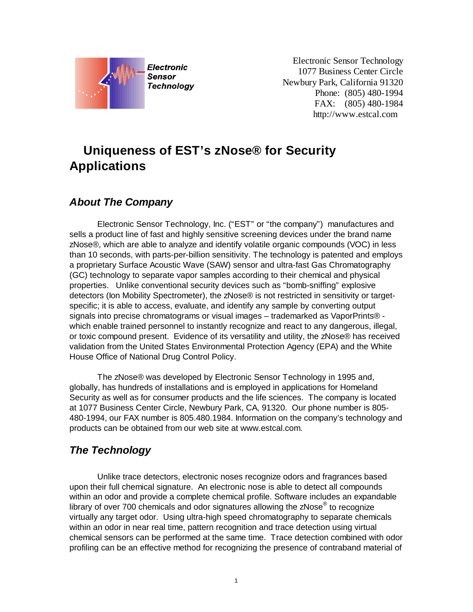

Electronic Sensor Technology 1077 Business Center Circle Newbury Park, California 91320 Phone: (805) 480-1994 FAX: (805) 480-1984 http://www.estcal.com

# **Uniqueness of EST's zNose® for Security Applications**

### *About The Company*

Electronic Sensor Technology, Inc. ("EST" or "the company") manufactures and sells a product line of fast and highly sensitive screening devices under the brand name zNose®, which are able to analyze and identify volatile organic compounds (VOC) in less than 10 seconds, with parts-per-billion sensitivity. The technology is patented and employs a proprietary Surface Acoustic Wave (SAW) sensor and ultra-fast Gas Chromatography (GC) technology to separate vapor samples according to their chemical and physical properties. Unlike conventional security devices such as "bomb-sniffing" explosive detectors (Ion Mobility Spectrometer), the zNose® is not restricted in sensitivity or targetspecific; it is able to access, evaluate, and identify any sample by converting output signals into precise chromatograms or visual images – trademarked as VaporPrints® which enable trained personnel to instantly recognize and react to any dangerous, illegal, or toxic compound present. Evidence of its versatility and utility, the zNose® has received validation from the United States Environmental Protection Agency (EPA) and the White House Office of National Drug Control Policy.

The zNose® was developed by Electronic Sensor Technology in 1995 and, globally, has hundreds of installations and is employed in applications for Homeland Security as well as for consumer products and the life sciences. The company is located at 1077 Business Center Circle, Newbury Park, CA, 91320. Our phone number is 805- 480-1994, our FAX number is 805.480.1984. Information on the company's technology and products can be obtained from our web site at [www.estcal.com.](http://www.estcal.com/)

### *The Technology*

Unlike trace detectors, electronic noses recognize odors and fragrances based upon their full chemical signature. An electronic nose is able to detect all compounds within an odor and provide a complete chemical profile. Software includes an expandable library of over 700 chemicals and odor signatures allowing the zNose $^{\circ}$  to recognize virtually any target odor. Using ultra-high speed chromatography to separate chemicals within an odor in near real time, pattern recognition and trace detection using virtual chemical sensors can be performed at the same time. Trace detection combined with odor profiling can be an effective method for recognizing the presence of contraband material of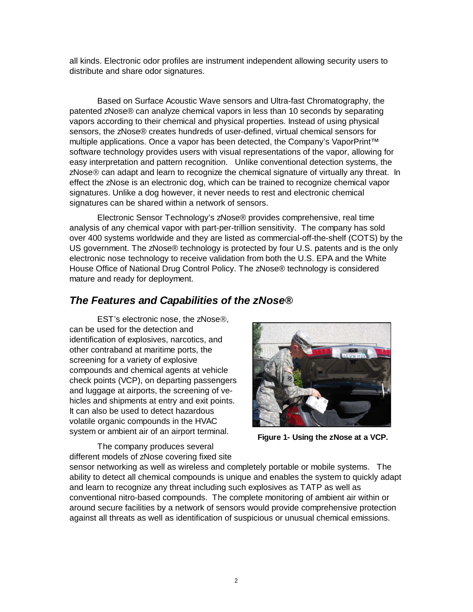all kinds. Electronic odor profiles are instrument independent allowing security users to distribute and share odor signatures.

Based on Surface Acoustic Wave sensors and Ultra-fast Chromatography, the patented zNose® can analyze chemical vapors in less than 10 seconds by separating vapors according to their chemical and physical properties. Instead of using physical sensors, the zNose® creates hundreds of user-defined, virtual chemical sensors for multiple applications. Once a vapor has been detected, the Company's VaporPrint<sup>™</sup> software technology provides users with visual representations of the vapor, allowing for easy interpretation and pattern recognition. Unlike conventional detection systems, the zNose<sup>®</sup> can adapt and learn to recognize the chemical signature of virtually any threat. In effect the zNose is an electronic dog, which can be trained to recognize chemical vapor signatures. Unlike a dog however, it never needs to rest and electronic chemical signatures can be shared within a network of sensors.

Electronic Sensor Technology's zNose® provides comprehensive, real time analysis of any chemical vapor with part-per-trillion sensitivity. The company has sold over 400 systems worldwide and they are listed as commercial-off-the-shelf (COTS) by the US government. The zNose® technology is protected by four U.S. patents and is the only electronic nose technology to receive validation from both the U.S. EPA and the White House Office of National Drug Control Policy. The zNose® technology is considered mature and ready for deployment.

### *The Features and Capabilities of the zNose®*

EST's electronic nose, the zNose<sup>®</sup>, can be used for the detection and identification of explosives, narcotics, and other contraband at maritime ports, the screening for a variety of explosive compounds and chemical agents at vehicle check points (VCP), on departing passengers and luggage at airports, the screening of vehicles and shipments at entry and exit points. It can also be used to detect hazardous volatile organic compounds in the HVAC system or ambient air of an airport terminal.



**Figure 1- Using the zNose at a VCP.**

The company produces several different models of zNose covering fixed site

sensor networking as well as wireless and completely portable or mobile systems. The ability to detect all chemical compounds is unique and enables the system to quickly adapt and learn to recognize any threat including such explosives as TATP as well as conventional nitro-based compounds. The complete monitoring of ambient air within or around secure facilities by a network of sensors would provide comprehensive protection against all threats as well as identification of suspicious or unusual chemical emissions.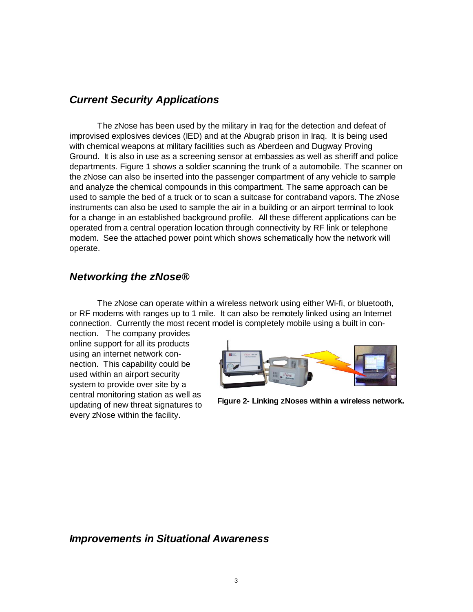### *Current Security Applications*

The zNose has been used by the military in Iraq for the detection and defeat of improvised explosives devices (IED) and at the Abugrab prison in Iraq. It is being used with chemical weapons at military facilities such as Aberdeen and Dugway Proving Ground. It is also in use as a screening sensor at embassies as well as sheriff and police departments. Figure 1 shows a soldier scanning the trunk of a automobile. The scanner on the zNose can also be inserted into the passenger compartment of any vehicle to sample and analyze the chemical compounds in this compartment. The same approach can be used to sample the bed of a truck or to scan a suitcase for contraband vapors. The zNose instruments can also be used to sample the air in a building or an airport terminal to look for a change in an established background profile. All these different applications can be operated from a central operation location through connectivity by RF link or telephone modem. See the attached power point which shows schematically how the network will operate.

#### *Networking the zNose®*

The zNose can operate within a wireless network using either Wi-fi, or bluetooth, or RF modems with ranges up to 1 mile. It can also be remotely linked using an Internet connection. Currently the most recent model is completely mobile using a built in con-

nection. The company provides online support for all its products using an internet network connection. This capability could be used within an airport security system to provide over site by a central monitoring station as well as updating of new threat signatures to every zNose within the facility.



**Figure 2- Linking zNoses within a wireless network.**

#### *Improvements in Situational Awareness*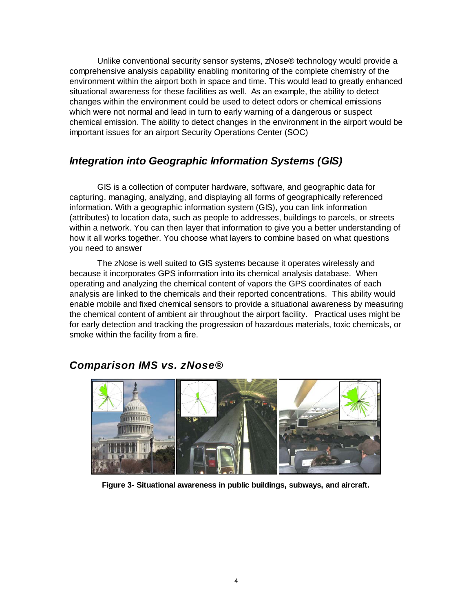Unlike conventional security sensor systems, zNose® technology would provide a comprehensive analysis capability enabling monitoring of the complete chemistry of the environment within the airport both in space and time. This would lead to greatly enhanced situational awareness for these facilities as well. As an example, the ability to detect changes within the environment could be used to detect odors or chemical emissions which were not normal and lead in turn to early warning of a dangerous or suspect chemical emission. The ability to detect changes in the environment in the airport would be important issues for an airport Security Operations Center (SOC)

# *Integration into Geographic Information Systems (GIS)*

GIS is a collection of computer hardware, software, and geographic data for capturing, managing, analyzing, and displaying all forms of geographically referenced information. With a geographic information system (GIS), you can link information (attributes) to location data, such as people to addresses, buildings to parcels, or streets within a network. You can then layer that information to give you a better understanding of how it all works together. You choose what layers to combine based on what questions you need to answer

The zNose is well suited to GIS systems because it operates wirelessly and because it incorporates GPS information into its chemical analysis database. When operating and analyzing the chemical content of vapors the GPS coordinates of each analysis are linked to the chemicals and their reported concentrations. This ability would enable mobile and fixed chemical sensors to provide a situational awareness by measuring the chemical content of ambient air throughout the airport facility. Practical uses might be for early detection and tracking the progression of hazardous materials, toxic chemicals, or smoke within the facility from a fire.



### *Comparison IMS vs. zNose®*

**Figure 3- Situational awareness in public buildings, subways, and aircraft.**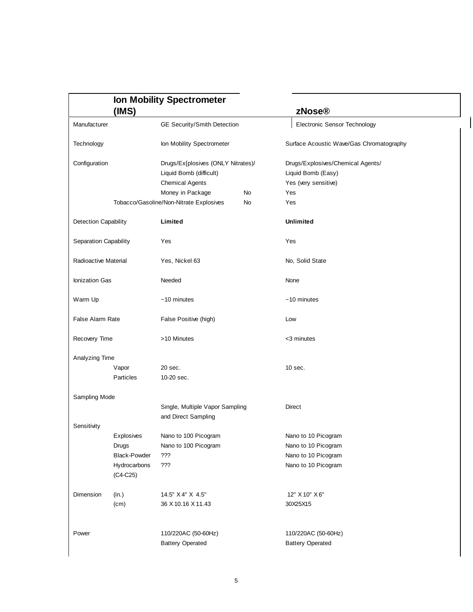|                              | (MS)                       |                                                        |    |                                          |  |
|------------------------------|----------------------------|--------------------------------------------------------|----|------------------------------------------|--|
|                              |                            |                                                        |    | zNose®                                   |  |
| Manufacturer                 |                            | GE Security/Smith Detection                            |    | Electronic Sensor Technology             |  |
| Technology                   |                            | Ion Mobility Spectrometer                              |    | Surface Acoustic Wave/Gas Chromatography |  |
| Configuration                |                            | Drugs/Ex[plosives (ONLY Nitrates)/                     |    | Drugs/Explosives/Chemical Agents/        |  |
|                              |                            | Liquid Bomb (difficult)                                |    | Liquid Bomb (Easy)                       |  |
|                              |                            | <b>Chemical Agents</b>                                 |    | Yes (very sensitive)                     |  |
|                              |                            | Money in Package                                       | No | Yes                                      |  |
|                              |                            | Tobacco/Gasoline/Non-Nitrate Explosives                | No | Yes                                      |  |
| Detection Capability         |                            | Limited                                                |    | <b>Unlimited</b>                         |  |
| <b>Separation Capability</b> |                            | Yes                                                    |    | Yes                                      |  |
| Radioactive Material         |                            | Yes, Nickel 63                                         |    | No, Solid State                          |  |
| Ionization Gas               |                            | Needed                                                 |    | None                                     |  |
| Warm Up                      |                            | $~10$ minutes                                          |    | $~10$ minutes                            |  |
| <b>False Alarm Rate</b>      |                            | False Positive (high)                                  |    | Low                                      |  |
| Recovery Time                |                            | >10 Minutes                                            |    | <3 minutes                               |  |
| Analyzing Time               |                            |                                                        |    |                                          |  |
|                              | Vapor                      | 20 sec.                                                |    | 10 sec.                                  |  |
|                              | Particles                  | 10-20 sec.                                             |    |                                          |  |
| Sampling Mode                |                            |                                                        |    |                                          |  |
|                              |                            | Single, Multiple Vapor Sampling<br>and Direct Sampling |    | Direct                                   |  |
| Sensitivity                  |                            |                                                        |    |                                          |  |
|                              | Explosives                 | Nano to 100 Picogram                                   |    | Nano to 10 Picogram                      |  |
|                              | Drugs                      | Nano to 100 Picogram                                   |    | Nano to 10 Picogram                      |  |
|                              | <b>Black-Powder</b>        | ???                                                    |    | Nano to 10 Picogram                      |  |
|                              | Hydrocarbons<br>$(C4-C25)$ | ???                                                    |    | Nano to 10 Picogram                      |  |
| Dimension                    | (in.)                      | 14.5" X 4" X 4.5"                                      |    | 12" X 10" X 6"                           |  |
|                              | (cm)                       | 36 X 10.16 X 11.43                                     |    | 30X25X15                                 |  |
|                              |                            | 110/220AC (50-60Hz)                                    |    |                                          |  |
| Power                        |                            |                                                        |    | 110/220AC (50-60Hz)                      |  |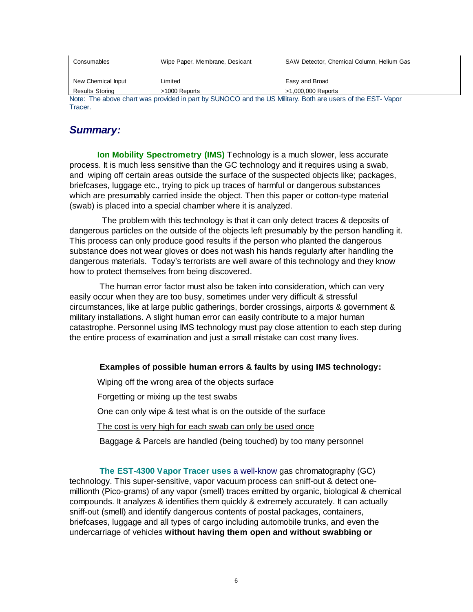Consumables Wipe Paper, Membrane, Desicant SAW Detector, Chemical Column, Helium Gas New Chemical Input Limited **Easy and Broad** Results Storing  $>1000$  Reports  $>1,000,000$  Reports Note: The above chart was provided in part by SUNOCO and the US Military. Both are users of the EST- Vapor Tracer.

# *Summary:*

**Ion Mobility Spectrometry (IMS)** Technology is a much slower, less accurate process. It is much less sensitive than the GC technology and it requires using a swab, and wiping off certain areas outside the surface of the suspected objects like; packages, briefcases, luggage etc., trying to pick up traces of harmful or dangerous substances which are presumably carried inside the object. Then this paper or cotton-type material (swab) is placed into a special chamber where it is analyzed.

 The problem with this technology is that it can only detect traces & deposits of dangerous particles on the outside of the objects left presumably by the person handling it. This process can only produce good results if the person who planted the dangerous substance does not wear gloves or does not wash his hands regularly after handling the dangerous materials. Today's terrorists are well aware of this technology and they know how to protect themselves from being discovered.

The human error factor must also be taken into consideration, which can very easily occur when they are too busy, sometimes under very difficult & stressful circumstances, like at large public gatherings, border crossings, airports & government & military installations. A slight human error can easily contribute to a major human catastrophe. Personnel using IMS technology must pay close attention to each step during the entire process of examination and just a small mistake can cost many lives.

#### **Examples of possible human errors & faults by using IMS technology:**

Wiping off the wrong area of the objects surface

Forgetting or mixing up the test swabs

One can only wipe & test what is on the outside of the surface

The cost is very high for each swab can only be used once

Baggage & Parcels are handled (being touched) by too many personnel

**The EST-4300 Vapor Tracer uses** a well-know gas chromatography (GC) technology. This super-sensitive, vapor vacuum process can sniff-out & detect onemillionth (Pico-grams) of any vapor (smell) traces emitted by organic, biological & chemical compounds. It analyzes & identifies them quickly & extremely accurately. It can actually sniff-out (smell) and identify dangerous contents of postal packages, containers, briefcases, luggage and all types of cargo including automobile trunks, and even the undercarriage of vehicles **without having them open and without swabbing or**